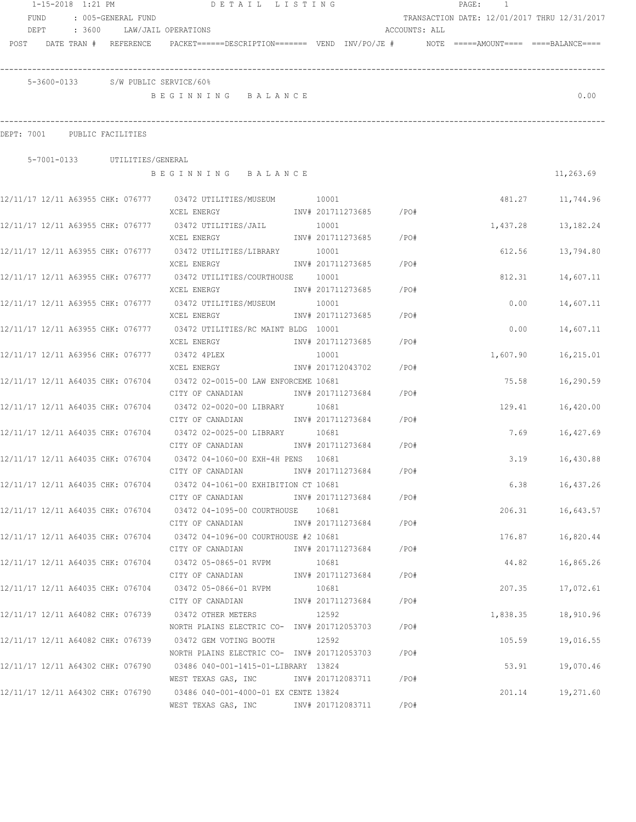|            | 1-15-2018 1:21 PM                 |                   |                               | DETAIL LISTING                                                                                        |                            |                        |               | $\mathtt{PAGE}$ : | -1       |                                              |
|------------|-----------------------------------|-------------------|-------------------------------|-------------------------------------------------------------------------------------------------------|----------------------------|------------------------|---------------|-------------------|----------|----------------------------------------------|
|            | FUND                              |                   | : 005-GENERAL FUND            |                                                                                                       |                            |                        |               |                   |          | TRANSACTION DATE: 12/01/2017 THRU 12/31/2017 |
|            | DEPT                              | : 3600            |                               | LAW/JAIL OPERATIONS                                                                                   |                            |                        | ACCOUNTS: ALL |                   |          |                                              |
| POST       |                                   |                   | DATE TRAN # REFERENCE         | $PACKET == == = DESCRIPTION == == == = VEND   INV/PO/JE #   NOTE  == ==AMOUNT == == == BALANCE == ==$ |                            |                        |               |                   |          |                                              |
|            |                                   |                   |                               | 5-3600-0133 S/W PUBLIC SERVICE/60%                                                                    |                            |                        |               |                   |          |                                              |
|            |                                   |                   |                               | BEGINNING BALANCE                                                                                     |                            |                        |               |                   |          | 0.00                                         |
| DEPT: 7001 |                                   | PUBLIC FACILITIES |                               |                                                                                                       |                            |                        |               |                   |          |                                              |
|            |                                   |                   | 5-7001-0133 UTILITIES/GENERAL |                                                                                                       |                            |                        |               |                   |          |                                              |
|            |                                   |                   |                               | BEGINNING BALANCE                                                                                     |                            |                        |               |                   |          | 11,263.69                                    |
|            |                                   |                   |                               | 12/11/17 12/11 A63955 CHK: 076777 03472 UTILITIES/MUSEUM 10001                                        |                            |                        |               |                   |          | 481.27 11,744.96                             |
|            |                                   |                   |                               | XCEL ENERGY                                                                                           |                            | INV# 201711273685 /PO# |               |                   |          |                                              |
|            |                                   |                   |                               | 12/11/17 12/11 A63955 CHK: 076777 03472 UTILITIES/JAIL                                                | 10001                      |                        |               |                   | 1,437.28 | 13,182.24                                    |
|            |                                   |                   |                               | XCEL ENERGY                                                                                           |                            | INV# 201711273685 /PO# |               |                   |          |                                              |
|            |                                   |                   |                               | 12/11/17 12/11 A63955 CHK: 076777 03472 UTILITIES/LIBRARY 10001                                       |                            |                        |               |                   | 612.56   | 13,794.80                                    |
|            |                                   |                   |                               | XCEL ENERGY                                                                                           | INV# 201711273685          |                        | /PO#          |                   |          |                                              |
|            |                                   |                   |                               | 12/11/17 12/11 A63955 CHK: 076777 03472 UTILITIES/COURTHOUSE 10001                                    |                            |                        |               |                   | 812.31   | 14,607.11                                    |
|            |                                   |                   |                               | XCEL ENERGY                                                                                           | INV# 201711273685          |                        | /PO#          |                   |          |                                              |
|            |                                   |                   |                               | XCEL ENERGY                                                                                           | 10001<br>INV# 201711273685 |                        | /PO#          |                   | 0.00     | 14,607.11                                    |
|            |                                   |                   |                               | 12/11/17 12/11 A63955 CHK: 076777 03472 UTILITIES/RC MAINT BLDG 10001                                 |                            |                        |               |                   | 0.00     | 14,607.11                                    |
|            |                                   |                   |                               | XCEL ENERGY                                                                                           | INV# 201711273685          |                        | /PO#          |                   |          |                                              |
|            | 12/11/17 12/11 A63956 CHK: 076777 |                   |                               | 03472 4PLEX                                                                                           | 10001                      |                        |               |                   | 1,607.90 | 16,215.01                                    |
|            |                                   |                   |                               | XCEL ENERGY                                                                                           | INV# 201712043702          |                        | /PO#          |                   |          |                                              |
|            |                                   |                   |                               | 12/11/17 12/11 A64035 CHK: 076704 03472 02-0015-00 LAW ENFORCEME 10681                                |                            |                        |               |                   | 75.58    | 16,290.59                                    |
|            |                                   |                   |                               | CITY OF CANADIAN                                                                                      | INV# 201711273684          |                        | /PO#          |                   |          |                                              |
|            |                                   |                   |                               |                                                                                                       | 10681                      |                        |               |                   | 129.41   | 16,420.00                                    |
|            |                                   |                   |                               | CITY OF CANADIAN                                                                                      | INV# 201711273684          |                        | /PO#          |                   |          |                                              |
|            |                                   |                   |                               | 12/11/17 12/11 A64035 CHK: 076704 03472 02-0025-00 LIBRARY                                            | 10681                      |                        |               |                   | 7.69     | 16,427.69                                    |
|            |                                   |                   |                               | CITY OF CANADIAN                                                                                      | INV# 201711273684          |                        | /PO#          |                   |          |                                              |
|            |                                   |                   |                               | 12/11/17 12/11 A64035 CHK: 076704     03472 04-1060-00 EXH-4H PENS  10681                             |                            |                        |               |                   | 3.19     | 16,430.88                                    |
|            |                                   |                   |                               | CITY OF CANADIAN                                                                                      | INV# 201711273684          |                        | /PO#          |                   |          |                                              |
|            |                                   |                   |                               | 12/11/17 12/11 A64035 CHK: 076704 03472 04-1061-00 EXHIBITION CT 10681                                |                            |                        |               |                   | 6.38     | 16,437.26                                    |
|            |                                   |                   |                               | CITY OF CANADIAN                                                                                      | INV# 201711273684          |                        | /PO#          |                   |          |                                              |
|            |                                   |                   |                               | 12/11/17 12/11 A64035 CHK: 076704 03472 04-1095-00 COURTHOUSE                                         | 10681                      |                        |               |                   | 206.31   | 16,643.57                                    |
|            |                                   |                   |                               | CITY OF CANADIAN                                                                                      | INV# 201711273684          |                        | /PO#          |                   |          |                                              |
|            |                                   |                   |                               | 12/11/17 12/11 A64035 CHK: 076704 03472 04-1096-00 COURTHOUSE #2 10681<br>CITY OF CANADIAN            | INV# 201711273684          |                        | /PO#          |                   | 176.87   | 16,820.44                                    |
|            |                                   |                   |                               | 12/11/17 12/11 A64035 CHK: 076704 03472 05-0865-01 RVPM                                               | 10681                      |                        |               |                   | 44.82    | 16,865.26                                    |
|            |                                   |                   |                               | CITY OF CANADIAN                                                                                      | INV# 201711273684          |                        | /PO#          |                   |          |                                              |
|            |                                   |                   |                               | 12/11/17 12/11 A64035 CHK: 076704 03472 05-0866-01 RVPM                                               | 10681                      |                        |               |                   | 207.35   | 17,072.61                                    |
|            |                                   |                   |                               | CITY OF CANADIAN                                                                                      | INV# 201711273684          |                        | /PO#          |                   |          |                                              |
|            | 12/11/17 12/11 A64082 CHK: 076739 |                   |                               | 03472 OTHER METERS                                                                                    | 12592                      |                        |               |                   | 1,838.35 | 18,910.96                                    |
|            |                                   |                   |                               | NORTH PLAINS ELECTRIC CO- INV# 201712053703                                                           |                            |                        | $/$ PO#       |                   |          |                                              |
|            |                                   |                   |                               | 12/11/17 12/11 A64082 CHK: 076739 03472 GEM VOTING BOOTH                                              | 12592                      |                        |               |                   | 105.59   | 19,016.55                                    |
|            |                                   |                   |                               | NORTH PLAINS ELECTRIC CO- INV# 201712053703                                                           |                            |                        | $/$ PO#       |                   |          |                                              |
|            | 12/11/17 12/11 A64302 CHK: 076790 |                   |                               | 03486 040-001-1415-01-LIBRARY 13824                                                                   |                            |                        |               |                   | 53.91    | 19,070.46                                    |
|            |                                   |                   |                               | WEST TEXAS GAS, INC                                                                                   | INV# 201712083711          |                        | /PO#          |                   |          |                                              |
|            |                                   |                   |                               | 12/11/17 12/11 A64302 CHK: 076790 03486 040-001-4000-01 EX CENTE 13824                                |                            |                        |               |                   | 201.14   | 19,271.60                                    |
|            |                                   |                   |                               | WEST TEXAS GAS, INC                                                                                   | INV# 201712083711          |                        | /PO#          |                   |          |                                              |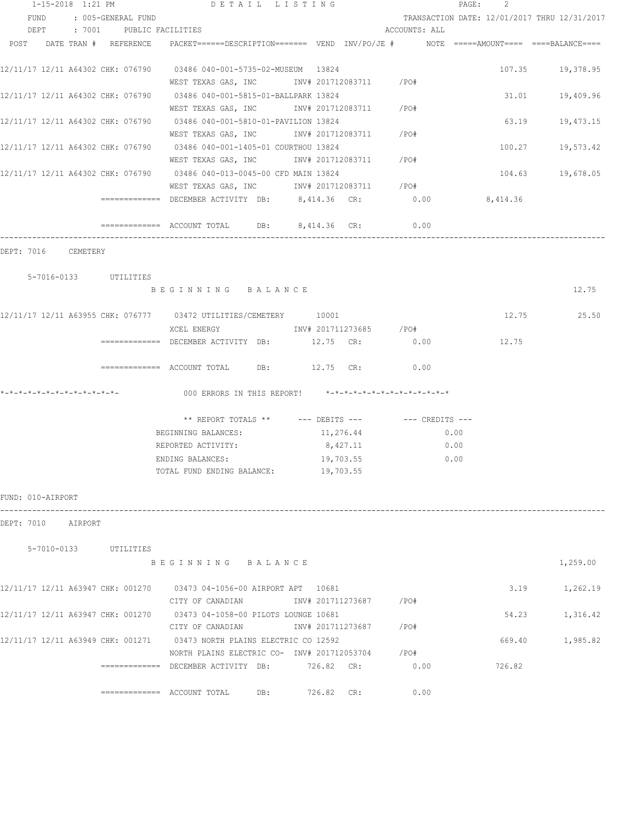|      |                   |                              |                               | 1-15-2018 1:21 PM DETAIL LISTING                                                         |                                                      |                                              | PAGE:<br>2 |                  |
|------|-------------------|------------------------------|-------------------------------|------------------------------------------------------------------------------------------|------------------------------------------------------|----------------------------------------------|------------|------------------|
|      | FUND              |                              | : 005-GENERAL FUND            |                                                                                          |                                                      | TRANSACTION DATE: 12/01/2017 THRU 12/31/2017 |            |                  |
|      |                   |                              | DEPT : 7001 PUBLIC FACILITIES |                                                                                          |                                                      | ACCOUNTS: ALL                                |            |                  |
| POST |                   |                              | DATE TRAN # REFERENCE         | PACKET======DESCRIPTION======= VEND INV/PO/JE #     NOTE =====AMOUNT==== ====BALANCE==== |                                                      |                                              |            |                  |
|      |                   |                              |                               | 12/11/17 12/11 A64302 CHK: 076790 03486 040-001-5735-02-MUSEUM 13824                     |                                                      |                                              |            | 107.35 19,378.95 |
|      |                   |                              |                               | WEST TEXAS GAS, INC 		 INV# 201712083711 / PO#                                           |                                                      |                                              |            |                  |
|      |                   |                              |                               | 12/11/17 12/11 A64302 CHK: 076790 03486 040-001-5815-01-BALLPARK 13824                   |                                                      |                                              |            | 31.01 19,409.96  |
|      |                   |                              |                               | WEST TEXAS GAS, INC MOV# 201712083711 / PO#                                              |                                                      |                                              |            |                  |
|      |                   |                              |                               | 12/11/17 12/11 A64302 CHK: 076790 03486 040-001-5810-01-PAVILION 13824                   |                                                      |                                              | 63.19      | 19,473.15        |
|      |                   |                              |                               | WEST TEXAS GAS, INC        INV# 201712083711     /PO#                                    |                                                      |                                              |            |                  |
|      |                   |                              |                               | 12/11/17 12/11 A64302 CHK: 076790 03486 040-001-1405-01 COURTHOU 13824                   |                                                      |                                              |            | 100.27 19,573.42 |
|      |                   |                              |                               | WEST TEXAS GAS, INC MOV# 201712083711 / PO#                                              |                                                      |                                              |            |                  |
|      |                   |                              |                               | 12/11/17 12/11 A64302 CHK: 076790 03486 040-013-0045-00 CFD MAIN 13824                   |                                                      |                                              |            | 104.63 19,678.05 |
|      |                   |                              |                               | WEST TEXAS GAS, INC MOV# 201712083711 / PO#                                              |                                                      |                                              |            |                  |
|      |                   |                              |                               | ============ DECEMBER ACTIVITY DB: 8,414.36 CR: 0.00 00 8,414.36                         |                                                      |                                              |            |                  |
|      |                   |                              |                               | $\overline{\phantom{1}}$ ============= ACCOUNT TOTAL DB: 8,414.36 CR:                    |                                                      | 0.00                                         |            |                  |
|      |                   | DEPT: 7016 CEMETERY          |                               |                                                                                          |                                                      |                                              |            |                  |
|      |                   |                              | 5-7016-0133 UTILITIES         |                                                                                          |                                                      |                                              |            |                  |
|      |                   |                              |                               | BEGINNING BALANCE                                                                        |                                                      |                                              |            | 12.75            |
|      |                   |                              |                               | 12/11/17 12/11 A63955 CHK: 076777 03472 UTILITIES/CEMETERY 10001                         |                                                      |                                              |            | 12.75 25.50      |
|      |                   |                              |                               | XCEL ENERGY 1NV# 201711273685 /PO#                                                       |                                                      |                                              |            |                  |
|      |                   |                              |                               | ============ DECEMBER ACTIVITY DB: 12.75 CR: 0.00                                        |                                                      |                                              | 12.75      |                  |
|      |                   |                              |                               |                                                                                          |                                                      |                                              |            |                  |
|      |                   |                              |                               | ============= ACCOUNT TOTAL DB: 12.75 CR:                                                |                                                      | 0.00                                         |            |                  |
|      |                   | *-*-*-*-*-*-*-*-*-*-*-*-*-*- |                               | 000 ERRORS IN THIS REPORT! *-*-*-*-*-*-*-*-*-*-*-*-*-*-                                  |                                                      |                                              |            |                  |
|      |                   |                              |                               |                                                                                          | ** REPORT TOTALS ** --- DEBITS --- -- -- CREDITS --- |                                              |            |                  |
|      |                   |                              |                               | BEGINNING BALANCES:                                                                      | 11,276.44                                            | 0.00                                         |            |                  |
|      |                   |                              |                               | REPORTED ACTIVITY:                                                                       | 8,427.11                                             | 0.00                                         |            |                  |
|      |                   |                              |                               | ENDING BALANCES:                                                                         | 19,703.55                                            | 0.00                                         |            |                  |
|      |                   |                              |                               | TOTAL FUND ENDING BALANCE: 19,703.55                                                     |                                                      |                                              |            |                  |
|      | FUND: 010-AIRPORT |                              |                               |                                                                                          |                                                      |                                              |            |                  |
|      |                   | DEPT: 7010 AIRPORT           |                               |                                                                                          |                                                      |                                              |            |                  |
|      |                   |                              | 5-7010-0133 UTILITIES         |                                                                                          |                                                      |                                              |            |                  |
|      |                   |                              |                               | BEGINNING BALANCE                                                                        |                                                      |                                              |            | 1,259.00         |
|      |                   |                              |                               | 12/11/17 12/11 A63947 CHK: 001270 03473 04-1056-00 AIRPORT APT 10681                     |                                                      |                                              | 3.19       | 1,262.19         |
|      |                   |                              |                               | CITY OF CANADIAN                INV# 201711273687         /PO#                           |                                                      |                                              |            |                  |
|      |                   |                              |                               | 12/11/17 12/11 A63947 CHK: 001270 03473 04-1058-00 PILOTS LOUNGE 10681                   |                                                      |                                              | 54.23      | 1,316.42         |
|      |                   |                              |                               |                                                                                          |                                                      |                                              |            |                  |
|      |                   |                              |                               | 12/11/17 12/11 A63949 CHK: 001271 03473 NORTH PLAINS ELECTRIC CO 12592                   |                                                      |                                              |            | 669.40 1,985.82  |
|      |                   |                              |                               | NORTH PLAINS ELECTRIC CO- INV# 201712053704 / PO#                                        |                                                      |                                              |            |                  |
|      |                   |                              |                               | ============= DECEMBER ACTIVITY DB: 726.82 CR: 0.00                                      |                                                      |                                              | 726.82     |                  |
|      |                   |                              |                               |                                                                                          |                                                      |                                              |            |                  |
|      |                   |                              |                               | DB:                                                                                      | 726.82 CR:                                           | 0.00                                         |            |                  |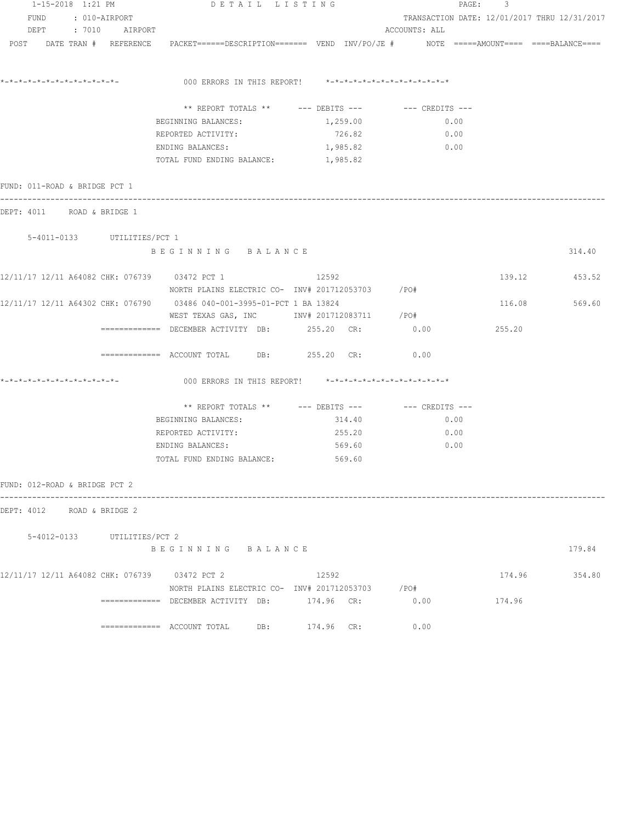|                                | 1-15-2018 1:21 PM |                             | DETAIL LISTING                                                                                                  |               |                                              | PAGE: 3 |               |
|--------------------------------|-------------------|-----------------------------|-----------------------------------------------------------------------------------------------------------------|---------------|----------------------------------------------|---------|---------------|
|                                |                   | FUND : 010-AIRPORT          |                                                                                                                 |               | TRANSACTION DATE: 12/01/2017 THRU 12/31/2017 |         |               |
|                                |                   | DEPT : 7010 AIRPORT         |                                                                                                                 |               | ACCOUNTS: ALL                                |         |               |
|                                |                   |                             | POST DATE TRAN # REFERENCE PACKET======DESCRIPTION======= VEND INV/PO/JE # NOTE =====AMOUNT==== ====BALANCE==== |               |                                              |         |               |
| *_*_*_*_*_*_*_*_*_*_*_*_*_*_*_ |                   |                             | 000 ERRORS IN THIS REPORT! *-*-*-*-*-*-*-*-*-*-*-*-*-*-                                                         |               |                                              |         |               |
|                                |                   |                             |                                                                                                                 |               |                                              |         |               |
|                                |                   |                             | ** REPORT TOTALS ** $---$ DEBITS --- $---$ CREDITS ---                                                          |               |                                              |         |               |
|                                |                   |                             | BEGINNING BALANCES:                                                                                             | 1,259.00      | 0.00                                         |         |               |
|                                |                   |                             | REPORTED ACTIVITY:                                                                                              | 726.82        | 0.00                                         |         |               |
|                                |                   |                             | ENDING BALANCES:                                                                                                | 1,985.82 0.00 |                                              |         |               |
|                                |                   |                             | TOTAL FUND ENDING BALANCE: 1,985.82                                                                             |               |                                              |         |               |
| FUND: 011-ROAD & BRIDGE PCT 1  |                   |                             |                                                                                                                 |               |                                              |         |               |
| DEPT: 4011 ROAD & BRIDGE 1     |                   |                             |                                                                                                                 |               |                                              |         |               |
|                                |                   |                             |                                                                                                                 |               |                                              |         |               |
|                                |                   | 5-4011-0133 UTILITIES/PCT 1 | BEGINNING BALANCE                                                                                               |               |                                              |         | 314.40        |
|                                |                   |                             |                                                                                                                 |               |                                              |         |               |
|                                |                   |                             | 12/11/17 12/11 A64082 CHK: 076739 03472 PCT 1                                                                   | 12592         |                                              |         | 139.12 453.52 |
|                                |                   |                             | NORTH PLAINS ELECTRIC CO- INV# 201712053703 / PO#                                                               |               |                                              |         |               |
|                                |                   |                             | 12/11/17 12/11 A64302 CHK: 076790 03486 040-001-3995-01-PCT 1 BA 13824                                          |               |                                              |         | 116.08 569.60 |
|                                |                   |                             | WEST TEXAS GAS, INC MONTH 201712083711 / PO#                                                                    |               |                                              |         |               |
|                                |                   |                             | ============ DECEMBER ACTIVITY DB: 255.20 CR: 0.00                                                              |               |                                              | 255.20  |               |
|                                |                   |                             | ============ ACCOUNT TOTAL DB: 255.20 CR:                                                                       |               | 0.00                                         |         |               |
| *_*_*_*_*_*_*_*_*_*_*_*_*_*_   |                   |                             | 000 ERRORS IN THIS REPORT! *-*-*-*-*-*-*-*-*-*-*-*-*-*-                                                         |               |                                              |         |               |
|                                |                   |                             | ** REPORT TOTALS ** --- DEBITS --- -- CREDITS ---                                                               |               |                                              |         |               |
|                                |                   |                             | BEGINNING BALANCES:                                                                                             | 314.40        | 0.00                                         |         |               |
|                                |                   |                             | REPORTED ACTIVITY:                                                                                              | 255.20        | 0.00                                         |         |               |
|                                |                   |                             | ENDING BALANCES:                                                                                                | 569.60        | 0.00                                         |         |               |
|                                |                   |                             | TOTAL FUND ENDING BALANCE: 569.60                                                                               |               |                                              |         |               |
| FUND: 012-ROAD & BRIDGE PCT 2  |                   |                             |                                                                                                                 |               |                                              |         |               |
| DEPT: 4012 ROAD & BRIDGE 2     |                   |                             |                                                                                                                 |               |                                              |         |               |
|                                |                   |                             |                                                                                                                 |               |                                              |         |               |
|                                |                   | 5-4012-0133 UTILITIES/PCT 2 | BEGINNING BALANCE                                                                                               |               |                                              |         | 179.84        |
|                                |                   |                             |                                                                                                                 |               |                                              |         |               |
|                                |                   |                             | 12/11/17 12/11 A64082 CHK: 076739 03472 PCT 2                                                                   | 12592         |                                              |         | 174.96 354.80 |
|                                |                   |                             | NORTH PLAINS ELECTRIC CO- INV# 201712053703 / PO#                                                               |               |                                              |         |               |
|                                |                   |                             | ============ DECEMBER ACTIVITY DB: 174.96 CR: 0.00                                                              |               |                                              | 174.96  |               |
|                                |                   |                             | $\text{---}\text{---}\text{---}\text{---}$ ACCOUNT TOTAL DB: $174.96$ CR:                                       |               | 0.00                                         |         |               |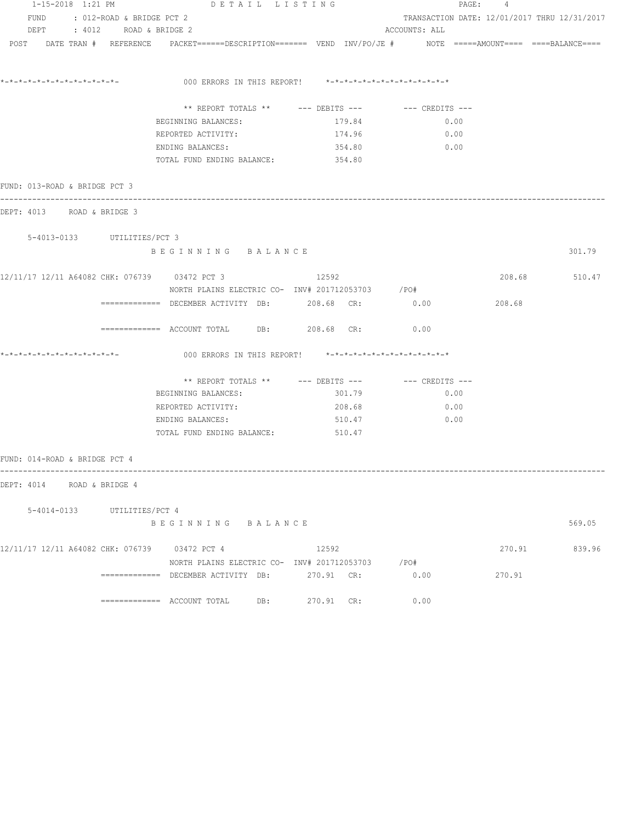| 1-15-2018 1:21 PM             |                             | DETAIL LISTING                                                                                                  |            |               | PAGE: 4 |                                              |  |
|-------------------------------|-----------------------------|-----------------------------------------------------------------------------------------------------------------|------------|---------------|---------|----------------------------------------------|--|
|                               |                             | FUND : 012-ROAD & BRIDGE PCT 2                                                                                  |            |               |         | TRANSACTION DATE: 12/01/2017 THRU 12/31/2017 |  |
|                               | DEPT : 4012 ROAD & BRIDGE 2 |                                                                                                                 |            | ACCOUNTS: ALL |         |                                              |  |
|                               |                             | POST DATE TRAN # REFERENCE PACKET======DESCRIPTION======= VEND INV/PO/JE # NOTE =====AMOUNT==== ====BALANCE==== |            |               |         |                                              |  |
|                               |                             | 000 ERRORS IN THIS REPORT! $*-*-*-*-*-*-*-*-*-*-*-*-*-*-**$                                                     |            |               |         |                                              |  |
|                               |                             |                                                                                                                 |            |               |         |                                              |  |
|                               |                             |                                                                                                                 |            |               |         |                                              |  |
|                               |                             | BEGINNING BALANCES:                                                                                             | 179.84     | 0.00          |         |                                              |  |
|                               |                             | REPORTED ACTIVITY:                                                                                              | 174.96     | 0.00          |         |                                              |  |
|                               |                             | ENDING BALANCES:                                                                                                | 354.80     | 0.00          |         |                                              |  |
|                               |                             | TOTAL FUND ENDING BALANCE: 354.80                                                                               |            |               |         |                                              |  |
| FUND: 013-ROAD & BRIDGE PCT 3 |                             |                                                                                                                 |            |               |         |                                              |  |
| DEPT: 4013 ROAD & BRIDGE 3    |                             |                                                                                                                 |            |               |         |                                              |  |
| 5-4013-0133 UTILITIES/PCT 3   |                             |                                                                                                                 |            |               |         |                                              |  |
|                               |                             | BEGINNING BALANCE                                                                                               |            |               |         | 301.79                                       |  |
|                               |                             | 12/11/17 12/11 A64082 CHK: 076739 03472 PCT 3                                                                   | 12592      |               |         | 208.68 510.47                                |  |
|                               |                             | NORTH PLAINS ELECTRIC CO- INV# 201712053703 /PO#                                                                |            |               |         |                                              |  |
|                               |                             | ============ DECEMBER ACTIVITY DB: 208.68 CR: 0.00                                                              |            |               | 208.68  |                                              |  |
|                               |                             | ============= ACCOUNT TOTAL DB: 208.68 CR: 0.00                                                                 |            |               |         |                                              |  |
|                               |                             | 000 ERRORS IN THIS REPORT! $*-*-*-*-*-*-*-*-*-*-*-*-*-*-*$                                                      |            |               |         |                                              |  |
|                               |                             |                                                                                                                 |            |               |         |                                              |  |
|                               |                             | BEGINNING BALANCES:                                                                                             | 301.79     | 0.00          |         |                                              |  |
|                               |                             | REPORTED ACTIVITY:                                                                                              | 208.68     | 0.00          |         |                                              |  |
|                               |                             | ENDING BALANCES:                                                                                                | 510.47     | 0.00          |         |                                              |  |
|                               |                             | TOTAL FUND ENDING BALANCE: 510.47                                                                               |            |               |         |                                              |  |
| FUND: 014-ROAD & BRIDGE PCT 4 |                             |                                                                                                                 |            |               |         |                                              |  |
| DEPT: 4014 ROAD & BRIDGE 4    |                             |                                                                                                                 |            |               |         |                                              |  |
|                               |                             |                                                                                                                 |            |               |         |                                              |  |
|                               | 5-4014-0133 UTILITIES/PCT 4 | BEGINNING BALANCE                                                                                               |            |               |         | 569.05                                       |  |
|                               |                             | 12/11/17 12/11 A64082 CHK: 076739 03472 PCT 4                                                                   | 12592      |               | 270.91  | 839.96                                       |  |
|                               |                             | NORTH PLAINS ELECTRIC CO- INV# 201712053703 /PO#                                                                |            |               |         |                                              |  |
|                               |                             | ============= DECEMBER ACTIVITY DB: 270.91 CR:                                                                  |            | 0.00          | 270.91  |                                              |  |
|                               |                             |                                                                                                                 | 270.91 CR: | 0.00          |         |                                              |  |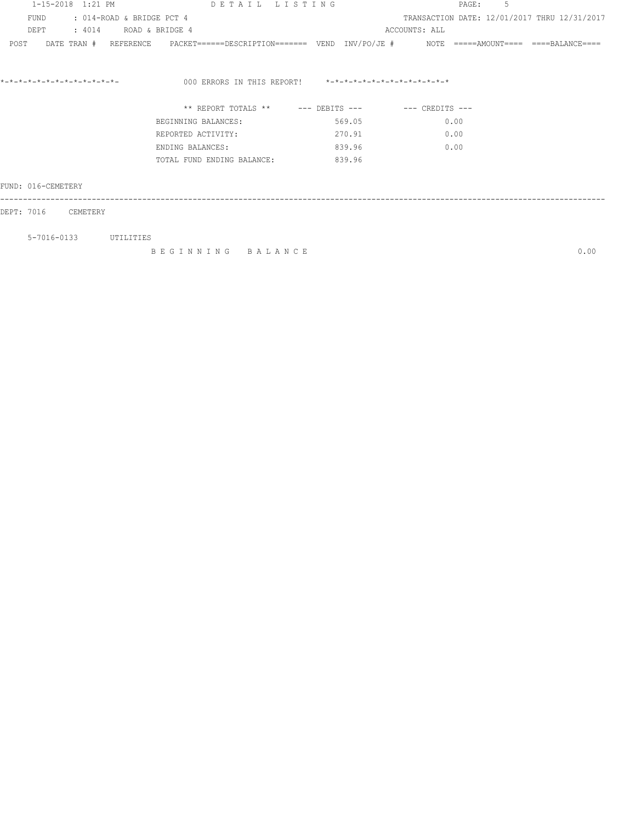| 1-15-2018 1:21 PM                 | DETAIL LISTING                                                                                             |                                                         | .5<br>PAGE:                                  |      |
|-----------------------------------|------------------------------------------------------------------------------------------------------------|---------------------------------------------------------|----------------------------------------------|------|
| FUND<br>: 014-ROAD & BRIDGE PCT 4 |                                                                                                            |                                                         | TRANSACTION DATE: 12/01/2017 THRU 12/31/2017 |      |
| : 4014 ROAD & BRIDGE 4<br>DE PT   |                                                                                                            |                                                         | ACCOUNTS: ALL                                |      |
| POST                              | DATE TRAN # REFERENCE PACKET======DESCRIPTION======= VEND INV/PO/JE # NOTE =====AMOUNT==== ====BALANCE==== |                                                         |                                              |      |
| *-*-*-*-*-*-*-*-*-*-*-*-*-*-      |                                                                                                            | 000 ERRORS IN THIS REPORT! *-*-*-*-*-*-*-*-*-*-*-*-*-*- |                                              |      |
|                                   |                                                                                                            | ** REPORT TOTALS ** --- DEBITS --- -- CREDITS ---       |                                              |      |
|                                   | BEGINNING BALANCES:                                                                                        | 569.05                                                  | 0.00                                         |      |
|                                   | REPORTED ACTIVITY:                                                                                         | 270.91                                                  | 0.00                                         |      |
|                                   | ENDING BALANCES:                                                                                           | 839.96                                                  | 0.00                                         |      |
|                                   | TOTAL FUND ENDING BALANCE:                                                                                 | 839.96                                                  |                                              |      |
| FUND: 016-CEMETERY                |                                                                                                            |                                                         |                                              |      |
| DEPT: 7016<br>CEMETERY            |                                                                                                            |                                                         |                                              |      |
| 5-7016-0133<br>UTILITIES          |                                                                                                            |                                                         |                                              |      |
|                                   | BEGINNING BALANCE                                                                                          |                                                         |                                              | 0.00 |